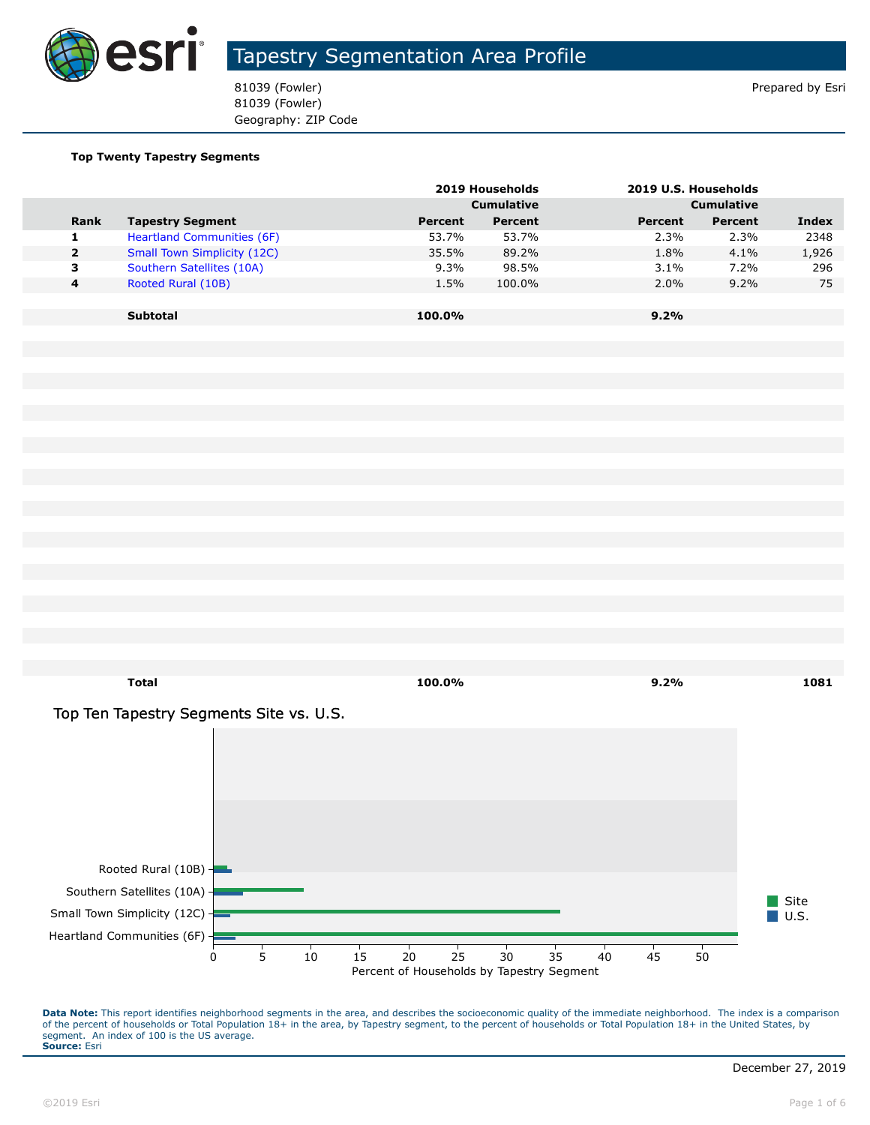

81039 (Fowler) 81039 (Fowler) **Prepared by Esri** 81039 (Fowler) Geography: ZIP Code

#### **Top Twenty Tapestry Segments**

|             |                                    |         | 2019 Households<br>2019 U.S. Households |         |                   |       |
|-------------|------------------------------------|---------|-----------------------------------------|---------|-------------------|-------|
|             |                                    |         | <b>Cumulative</b>                       |         | <b>Cumulative</b> |       |
| <b>Rank</b> | <b>Tapestry Segment</b>            | Percent | Percent                                 | Percent | Percent           | Index |
| 1           | <b>Heartland Communities (6F)</b>  | 53.7%   | 53.7%                                   | 2.3%    | 2.3%              | 2348  |
| 2           | <b>Small Town Simplicity (12C)</b> | 35.5%   | 89.2%                                   | 1.8%    | 4.1%              | 1,926 |
| з           | Southern Satellites (10A)          | 9.3%    | 98.5%                                   | 3.1%    | 7.2%              | 296   |
| 4           | Rooted Rural (10B)                 | 1.5%    | 100.0%                                  | 2.0%    | $9.2\%$           | 75    |
|             |                                    |         |                                         |         |                   |       |
|             | <b>Subtotal</b>                    | 100.0%  |                                         | $9.2\%$ |                   |       |
|             |                                    |         |                                         |         |                   |       |

Top Ten Tapestry Segments Site vs. U.S.



**Total 100.0% 9.2% 1081**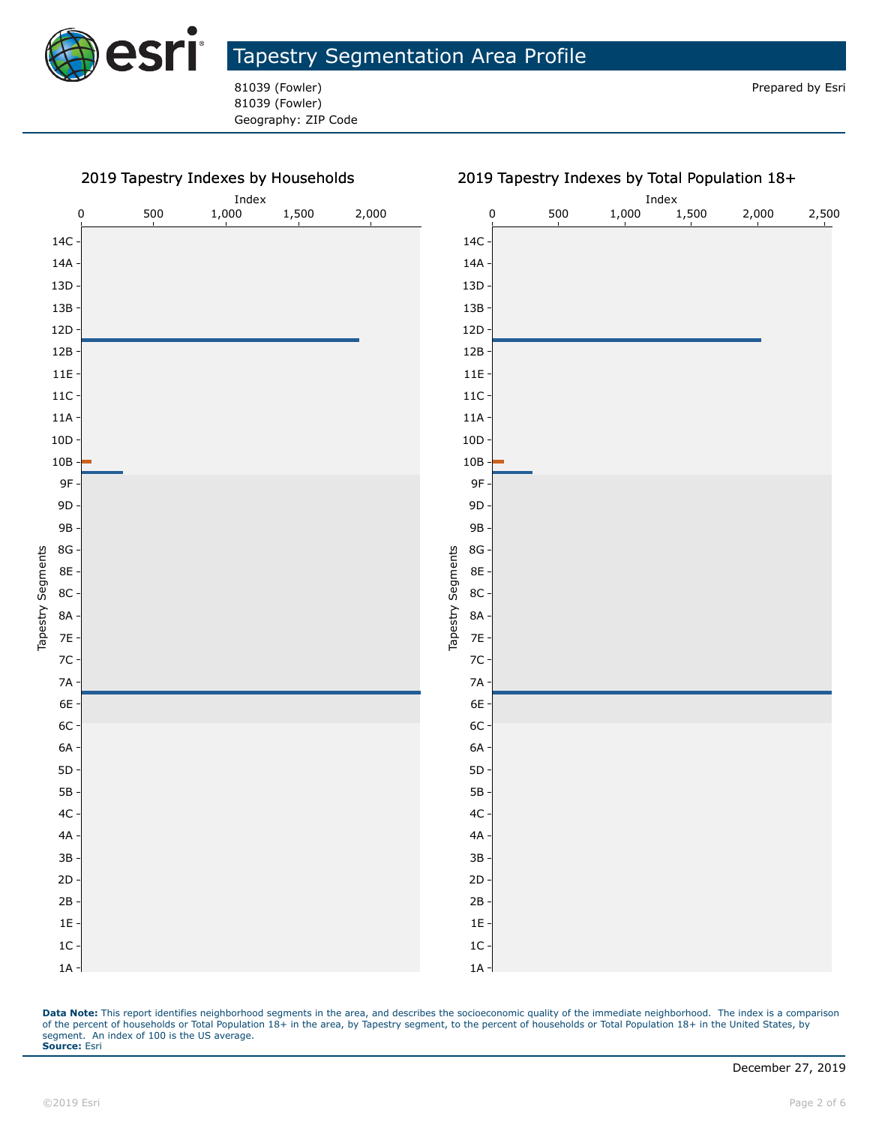

81039 (Fowler) Geography: ZIP Code

#### 2019 Tapestry Indexes by Households Index Index 0 500 1,000 1,500 2,000 0 500 1,000 1,500 2,000 2,500 14C 14C 14A 14A 13D 13D 13B 13B 12D 12D 12B 12B 11E 11E 11C 11C 11A 11A 10D 10D 10B 10B 9F 9F 9D 9D 9B 9B 8G 8G Tapestry Segments Tapestry Segments Tapestry Segments Tapestry Segments 8E 8E 8C 8C 8A 8A 7E 7E 7C 7C 7A 7A 6E 6E 6C 6C 6A 6A 5D 5D 5B 5B 4C 4C 4A 4A 3B 3B 2D 2D 2B 2B 1E 1E 1C 1C 1A 1A

#### 2019 Tapestry Indexes by Total Population 18+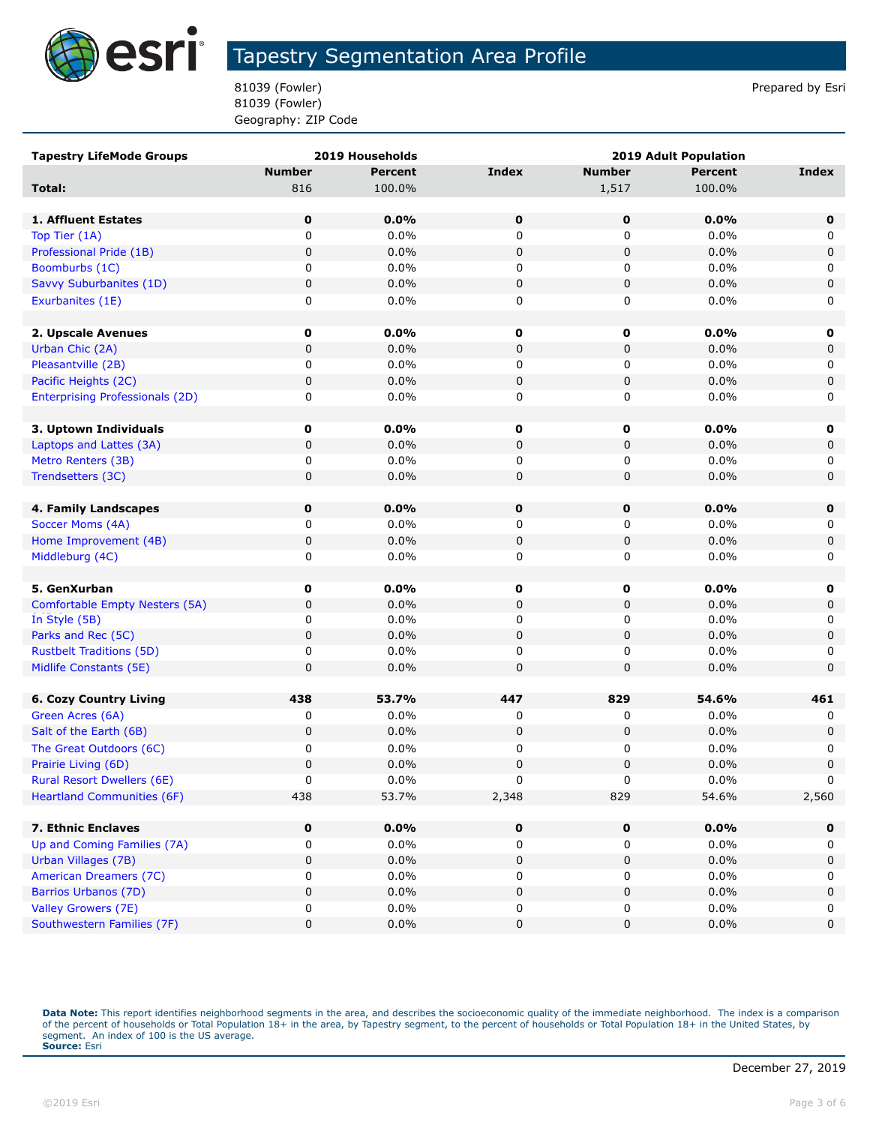

81039 (Fowler) **Prepared by Estimate 18 and 20** and 20 and 20 and 20 and 20 and 20 and 20 and 20 and 20 and 20 and 20 and 20 and 20 and 20 and 20 and 20 and 20 and 20 and 20 and 20 and 20 and 20 and 20 and 20 and 20 and 20 81039 (Fowler) Geography: ZIP Code

| <b>Tapestry LifeMode Groups</b>        | 2019 Households |                | <b>2019 Adult Population</b> |               |                |             |
|----------------------------------------|-----------------|----------------|------------------------------|---------------|----------------|-------------|
|                                        | <b>Number</b>   | <b>Percent</b> | <b>Index</b>                 | <b>Number</b> | <b>Percent</b> | Index       |
| Total:                                 | 816             | 100.0%         |                              | 1,517         | 100.0%         |             |
|                                        |                 |                |                              |               |                |             |
| 1. Affluent Estates                    | $\mathbf 0$     | 0.0%           | $\mathbf 0$                  | 0             | 0.0%           | $\mathbf 0$ |
| Top Tier (1A)                          | 0               | 0.0%           | 0                            | $\mathbf 0$   | 0.0%           | 0           |
| Professional Pride (1B)                | $\pmb{0}$       | 0.0%           | 0                            | $\pmb{0}$     | 0.0%           | $\pmb{0}$   |
| Boomburbs (1C)                         | 0               | 0.0%           | 0                            | 0             | 0.0%           | 0           |
| Savvy Suburbanites (1D)                | 0               | 0.0%           | 0                            | $\pmb{0}$     | 0.0%           | $\pmb{0}$   |
| Exurbanites (1E)                       | 0               | $0.0\%$        | 0                            | 0             | 0.0%           | 0           |
|                                        |                 |                |                              |               |                |             |
| 2. Upscale Avenues                     | 0               | 0.0%           | 0                            | 0             | 0.0%           | $\mathbf 0$ |
| Urban Chic (2A)                        | $\mathbf 0$     | 0.0%           | 0                            | 0             | 0.0%           | $\pmb{0}$   |
| Pleasantville (2B)                     | 0               | 0.0%           | 0                            | 0             | 0.0%           | 0           |
| Pacific Heights (2C)                   | $\mathbf 0$     | 0.0%           | 0                            | $\pmb{0}$     | 0.0%           | $\pmb{0}$   |
| <b>Enterprising Professionals (2D)</b> | 0               | $0.0\%$        | 0                            | 0             | 0.0%           | 0           |
|                                        |                 |                |                              |               |                |             |
| 3. Uptown Individuals                  | 0               | 0.0%           | 0                            | 0             | 0.0%           | 0           |
| Laptops and Lattes (3A)                | 0               | 0.0%           | 0                            | 0             | 0.0%           | 0           |
| Metro Renters (3B)                     | 0               | $0.0\%$        | 0                            | 0             | 0.0%           | 0           |
| Trendsetters (3C)                      | 0               | 0.0%           | 0                            | 0             | 0.0%           | $\mathbf 0$ |
|                                        |                 |                |                              |               |                |             |
| 4. Family Landscapes                   | 0               | 0.0%           | 0                            | 0             | 0.0%           | $\mathbf 0$ |
| Soccer Moms (4A)                       | 0               | $0.0\%$        | 0                            | 0             | 0.0%           | 0           |
| Home Improvement (4B)                  | 0               | 0.0%           | 0                            | 0             | 0.0%           | 0           |
| Middleburg (4C)                        | 0               | 0.0%           | 0                            | 0             | 0.0%           | 0           |
| 5. GenXurban                           | 0               | 0.0%           | 0                            | 0             | 0.0%           | $\mathbf 0$ |
| Comfortable Empty Nesters (5A)         | $\mathbf 0$     | 0.0%           | 0                            | $\mathbf 0$   | 0.0%           | $\pmb{0}$   |
| In Style (5B)                          | 0               | 0.0%           | 0                            | 0             | 0.0%           | 0           |
| Parks and Rec (5C)                     | $\mathbf 0$     | 0.0%           | 0                            | $\mathbf 0$   | 0.0%           | $\pmb{0}$   |
| <b>Rustbelt Traditions (5D)</b>        | 0               | $0.0\%$        | 0                            | 0             | 0.0%           | 0           |
| Midlife Constants (5E)                 | 0               | 0.0%           | 0                            | 0             | 0.0%           | $\mathbf 0$ |
|                                        |                 |                |                              |               |                |             |
| <b>6. Cozy Country Living</b>          | 438             | 53.7%          | 447                          | 829           | 54.6%          | 461         |
| Green Acres (6A)                       | 0               | 0.0%           | 0                            | 0             | 0.0%           | 0           |
| Salt of the Earth (6B)                 | $\mathbf 0$     | 0.0%           | 0                            | $\mathbf 0$   | 0.0%           | $\pmb{0}$   |
| The Great Outdoors (6C)                | 0               | 0.0%           | 0                            | 0             | 0.0%           | 0           |
| Prairie Living (6D)                    | $\mathbf 0$     | 0.0%           | 0                            | 0             | 0.0%           | $\pmb{0}$   |
| Rural Resort Dwellers (6E)             | 0               | 0.0%           | $\Omega$                     | 0             | 0.0%           | $\Omega$    |
| <b>Heartland Communities (6F)</b>      | 438             | 53.7%          | 2,348                        | 829           | 54.6%          | 2,560       |
|                                        |                 |                |                              |               |                |             |
| 7. Ethnic Enclaves                     | $\mathbf 0$     | $0.0\%$        | $\mathbf 0$                  | $\mathbf 0$   | 0.0%           | $\mathbf 0$ |
| Up and Coming Families (7A)            | 0               | 0.0%           | 0                            | 0             | 0.0%           | 0           |
| Urban Villages (7B)                    | 0               | 0.0%           | 0                            | 0             | 0.0%           | $\pmb{0}$   |
| American Dreamers (7C)                 | 0               | $0.0\%$        | 0                            | 0             | 0.0%           | 0           |
| <b>Barrios Urbanos (7D)</b>            | 0               | 0.0%           | $\pmb{0}$                    | 0             | 0.0%           | $\pmb{0}$   |
| Valley Growers (7E)                    | 0               | $0.0\%$        | 0                            | 0             | 0.0%           | 0           |
| Southwestern Families (7F)             | 0               | $0.0\%$        | 0                            | 0             | 0.0%           | 0           |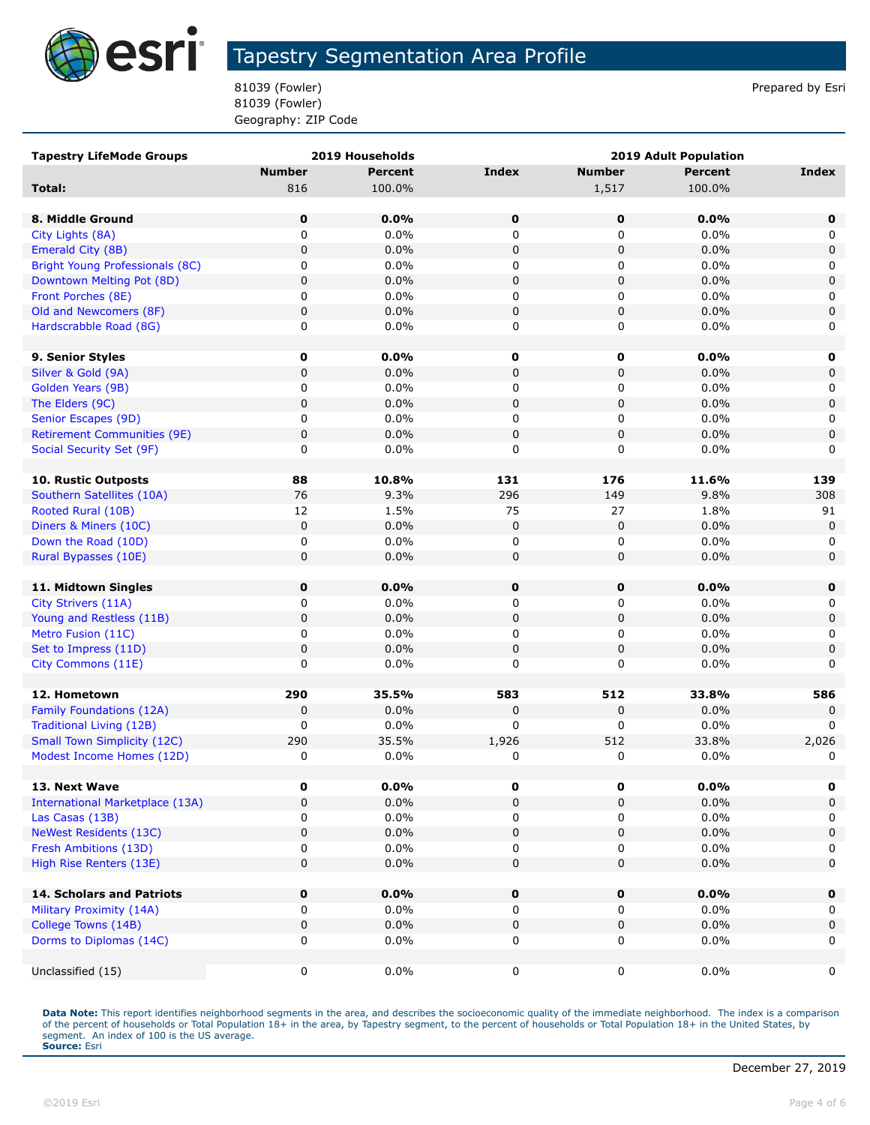

81039 (Fowler) **Prepared by Estimate 18 and 20** and 20 and 20 and 20 and 20 and 20 and 20 and 20 and 20 and 20 and 20 and 20 and 20 and 20 and 20 and 20 and 20 and 20 and 20 and 20 and 20 and 20 and 20 and 20 and 20 and 20 81039 (Fowler) Geography: ZIP Code

| <b>Tapestry LifeMode Groups</b>        |               | <b>2019 Households</b> |              | 2019 Adult Population |                |              |
|----------------------------------------|---------------|------------------------|--------------|-----------------------|----------------|--------------|
|                                        | <b>Number</b> | <b>Percent</b>         | <b>Index</b> | <b>Number</b>         | <b>Percent</b> | <b>Index</b> |
| Total:                                 | 816           | 100.0%                 |              | 1,517                 | 100.0%         |              |
| 8. Middle Ground                       | 0             | 0.0%                   | $\mathbf 0$  | $\mathbf 0$           | 0.0%           | 0            |
| City Lights (8A)                       | 0             | 0.0%                   | 0            | 0                     | $0.0\%$        | 0            |
| Emerald City (8B)                      | 0             | 0.0%                   | $\pmb{0}$    | 0                     | 0.0%           | 0            |
| <b>Bright Young Professionals (8C)</b> | 0             | 0.0%                   | 0            | 0                     | 0.0%           | 0            |
| Downtown Melting Pot (8D)              | $\pmb{0}$     | 0.0%                   | $\pmb{0}$    | $\pmb{0}$             | 0.0%           | $\mathsf 0$  |
| Front Porches (8E)                     | 0             | 0.0%                   | 0            | 0                     | 0.0%           | 0            |
| Old and Newcomers (8F)                 | $\pmb{0}$     | 0.0%                   | $\pmb{0}$    | 0                     | 0.0%           | 0            |
| Hardscrabble Road (8G)                 | 0             | 0.0%                   | 0            | 0                     | 0.0%           | 0            |
| 9. Senior Styles                       | 0             | 0.0%                   | 0            | $\mathbf 0$           | $0.0\%$        | 0            |
| Silver & Gold (9A)                     | 0             | 0.0%                   | $\pmb{0}$    | 0                     | 0.0%           | 0            |
| Golden Years (9B)                      | 0             | 0.0%                   | 0            | 0                     | $0.0\%$        | 0            |
| The Elders (9C)                        | $\pmb{0}$     | 0.0%                   | $\mathbf 0$  | 0                     | 0.0%           | $\mathbf 0$  |
| Senior Escapes (9D)                    | 0             | 0.0%                   | 0            | 0                     | 0.0%           | 0            |
| <b>Retirement Communities (9E)</b>     | $\pmb{0}$     | 0.0%                   | $\pmb{0}$    | $\pmb{0}$             | 0.0%           | 0            |
| Social Security Set (9F)               | 0             | 0.0%                   | 0            | 0                     | 0.0%           | 0            |
| 10. Rustic Outposts                    | 88            | 10.8%                  | 131          | 176                   | 11.6%          | 139          |
| Southern Satellites (10A)              | 76            | 9.3%                   | 296          | 149                   | 9.8%           | 308          |
| Rooted Rural (10B)                     | 12            | 1.5%                   | 75           | 27                    | 1.8%           | 91           |
| Diners & Miners (10C)                  | $\pmb{0}$     | 0.0%                   | $\pmb{0}$    | 0                     | 0.0%           | $\mathbf 0$  |
| Down the Road (10D)                    | 0             | 0.0%                   | 0            | 0                     | $0.0\%$        | 0            |
| Rural Bypasses (10E)                   | 0             | 0.0%                   | 0            | 0                     | 0.0%           | 0            |
| 11. Midtown Singles                    | 0             | 0.0%                   | $\mathbf 0$  | $\mathbf 0$           | 0.0%           | 0            |
| City Strivers (11A)                    | 0             | 0.0%                   | 0            | 0                     | 0.0%           | 0            |
| Young and Restless (11B)               | $\pmb{0}$     | 0.0%                   | $\mathbf 0$  | 0                     | 0.0%           | $\mathsf 0$  |
| Metro Fusion (11C)                     | 0             | 0.0%                   | 0            | 0                     | 0.0%           | 0            |
| Set to Impress (11D)                   | $\pmb{0}$     | 0.0%                   | $\pmb{0}$    | 0                     | 0.0%           | 0            |
| City Commons (11E)                     | 0             | 0.0%                   | 0            | 0                     | 0.0%           | 0            |
|                                        |               |                        |              |                       |                |              |
| 12. Hometown                           | 290           | 35.5%                  | 583          | 512                   | 33.8%          | 586          |
| Family Foundations (12A)               | $\pmb{0}$     | 0.0%                   | 0            | 0                     | 0.0%           | $\Omega$     |
| <b>Traditional Living (12B)</b>        | 0             | 0.0%                   | 0            | 0                     | 0.0%           | 0            |
| <b>Small Town Simplicity (12C)</b>     | 290           | 35.5%                  | 1,926        | 512                   | 33.8%          | 2,026        |
| Modest Income Homes (12D)              | $\pmb{0}$     | 0.0%                   | 0            | 0                     | 0.0%           | 0            |
| 13. Next Wave                          | 0             | $0.0\%$                | 0            | 0                     | 0.0%           | 0            |
| <b>International Marketplace (13A)</b> | 0             | 0.0%                   | $\pmb{0}$    | 0                     | 0.0%           | 0            |
| Las Casas (13B)                        | 0             | 0.0%                   | 0            | 0                     | 0.0%           | 0            |
| <b>NeWest Residents (13C)</b>          | 0             | 0.0%                   | $\pmb{0}$    | 0                     | 0.0%           | $\mathbf 0$  |
| Fresh Ambitions (13D)                  | 0             | 0.0%                   | 0            | 0                     | $0.0\%$        | 0            |
| High Rise Renters (13E)                | $\mathbf 0$   | 0.0%                   | 0            | 0                     | 0.0%           | 0            |
| <b>14. Scholars and Patriots</b>       | 0             | 0.0%                   | $\pmb{0}$    | 0                     | 0.0%           | $\mathbf 0$  |
| Military Proximity (14A)               | 0             | 0.0%                   | 0            | 0                     | $0.0\%$        | 0            |
| College Towns (14B)                    | $\pmb{0}$     | 0.0%                   | $\pmb{0}$    | 0                     | 0.0%           | $\mathbf 0$  |
| Dorms to Diplomas (14C)                | 0             | 0.0%                   | 0            | 0                     | $0.0\%$        | 0            |
|                                        |               |                        |              |                       |                |              |
| Unclassified (15)                      | $\mathbf 0$   | 0.0%                   | 0            | 0                     | 0.0%           | 0            |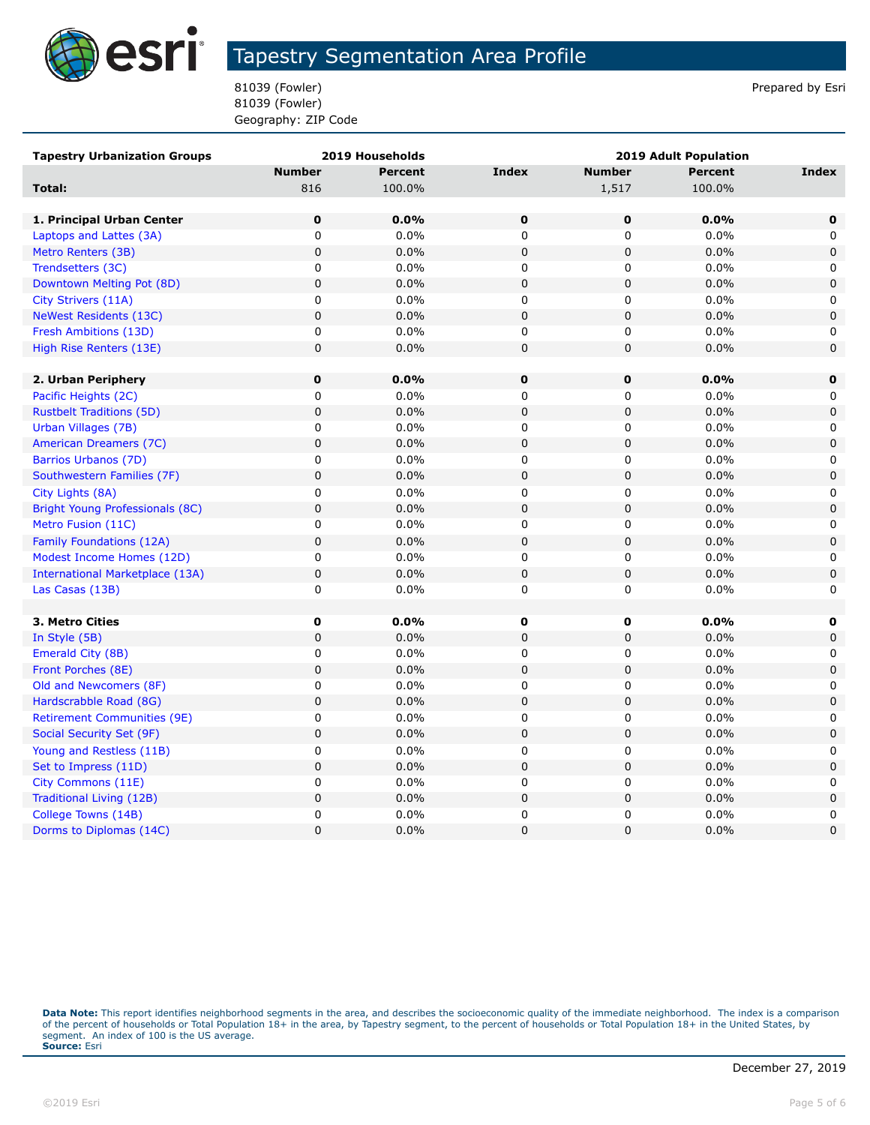

81039 (Fowler) **Prepared by Estimate 18 and 20** and 20 and 20 and 20 and 20 and 20 and 20 and 20 and 20 and 20 and 20 and 20 and 20 and 20 and 20 and 20 and 20 and 20 and 20 and 20 and 20 and 20 and 20 and 20 and 20 and 20 81039 (Fowler) Geography: ZIP Code

| <b>Tapestry Urbanization Groups</b> | 2019 Households |                | <b>2019 Adult Population</b> |               |                |             |
|-------------------------------------|-----------------|----------------|------------------------------|---------------|----------------|-------------|
|                                     | <b>Number</b>   | <b>Percent</b> | <b>Index</b>                 | <b>Number</b> | <b>Percent</b> | Index       |
| Total:                              | 816             | 100.0%         |                              | 1,517         | 100.0%         |             |
|                                     |                 |                |                              |               |                |             |
| 1. Principal Urban Center           | $\bf{0}$        | 0.0%           | $\mathbf 0$                  | $\mathbf 0$   | 0.0%           | $\mathbf 0$ |
| Laptops and Lattes (3A)             | 0               | 0.0%           | 0                            | 0             | 0.0%           | 0           |
| Metro Renters (3B)                  | $\mathbf 0$     | 0.0%           | $\mathbf 0$                  | 0             | 0.0%           | $\mathbf 0$ |
| Trendsetters (3C)                   | $\mathbf 0$     | 0.0%           | 0                            | 0             | 0.0%           | 0           |
| Downtown Melting Pot (8D)           | $\pmb{0}$       | 0.0%           | $\pmb{0}$                    | 0             | 0.0%           | $\pmb{0}$   |
| City Strivers (11A)                 | $\mathbf 0$     | 0.0%           | 0                            | 0             | 0.0%           | 0           |
| <b>NeWest Residents (13C)</b>       | $\mathbf 0$     | 0.0%           | $\mathsf 0$                  | 0             | 0.0%           | $\mathsf 0$ |
| Fresh Ambitions (13D)               | 0               | 0.0%           | 0                            | 0             | 0.0%           | 0           |
| High Rise Renters (13E)             | $\pmb{0}$       | 0.0%           | $\mathbf 0$                  | 0             | 0.0%           | $\mathsf 0$ |
|                                     |                 |                |                              |               |                |             |
| 2. Urban Periphery                  | $\mathbf 0$     | 0.0%           | 0                            | 0             | 0.0%           | $\mathbf 0$ |
| Pacific Heights (2C)                | 0               | 0.0%           | 0                            | 0             | 0.0%           | 0           |
| <b>Rustbelt Traditions (5D)</b>     | $\pmb{0}$       | 0.0%           | $\mathsf 0$                  | 0             | 0.0%           | $\pmb{0}$   |
| Urban Villages (7B)                 | $\mathbf 0$     | 0.0%           | 0                            | 0             | 0.0%           | 0           |
| American Dreamers (7C)              | $\pmb{0}$       | 0.0%           | $\pmb{0}$                    | 0             | 0.0%           | $\mathsf 0$ |
| Barrios Urbanos (7D)                | 0               | 0.0%           | 0                            | 0             | 0.0%           | 0           |
| Southwestern Families (7F)          | $\pmb{0}$       | 0.0%           | $\mathbf 0$                  | 0             | 0.0%           | $\mathbf 0$ |
| City Lights (8A)                    | $\mathbf 0$     | 0.0%           | 0                            | 0             | 0.0%           | 0           |
| Bright Young Professionals (8C)     | $\mathbf 0$     | 0.0%           | $\mathbf 0$                  | 0             | 0.0%           | $\mathbf 0$ |
| Metro Fusion (11C)                  | 0               | 0.0%           | 0                            | 0             | 0.0%           | 0           |
| <b>Family Foundations (12A)</b>     | $\pmb{0}$       | 0.0%           | $\mathbf 0$                  | 0             | 0.0%           | $\mathbf 0$ |
| Modest Income Homes (12D)           | $\pmb{0}$       | 0.0%           | 0                            | 0             | 0.0%           | 0           |
| International Marketplace (13A)     | $\pmb{0}$       | 0.0%           | $\pmb{0}$                    | 0             | 0.0%           | $\mathbf 0$ |
| Las Casas (13B)                     | 0               | 0.0%           | 0                            | 0             | 0.0%           | $\mathbf 0$ |
|                                     |                 |                |                              |               |                |             |
| 3. Metro Cities                     | $\mathbf 0$     | $0.0\%$        | 0                            | 0             | 0.0%           | 0           |
| In Style (5B)                       | $\mathbf 0$     | 0.0%           | $\pmb{0}$                    | 0             | 0.0%           | $\mathbf 0$ |
| Emerald City (8B)                   | $\pmb{0}$       | 0.0%           | $\pmb{0}$                    | 0             | 0.0%           | 0           |
| Front Porches (8E)                  | $\pmb{0}$       | 0.0%           | $\pmb{0}$                    | 0             | 0.0%           | $\mathbf 0$ |
| Old and Newcomers (8F)              | $\pmb{0}$       | 0.0%           | 0                            | 0             | 0.0%           | 0           |
| Hardscrabble Road (8G)              | $\pmb{0}$       | 0.0%           | $\pmb{0}$                    | 0             | 0.0%           | $\mathsf 0$ |
| <b>Retirement Communities (9E)</b>  | 0               | 0.0%           | 0                            | 0             | 0.0%           | 0           |
| Social Security Set (9F)            | $\pmb{0}$       | 0.0%           | $\pmb{0}$                    | 0             | 0.0%           | $\pmb{0}$   |
| Young and Restless (11B)            | 0               | 0.0%           | 0                            | 0             | 0.0%           | 0           |
| Set to Impress (11D)                | $\pmb{0}$       | 0.0%           | $\pmb{0}$                    | 0             | 0.0%           | $\pmb{0}$   |
| City Commons (11E)                  | $\pmb{0}$       | 0.0%           | $\pmb{0}$                    | 0             | 0.0%           | 0           |
| Traditional Living (12B)            | $\pmb{0}$       | 0.0%           | $\pmb{0}$                    | 0             | 0.0%           | $\mathbf 0$ |
| College Towns (14B)                 | $\mathbf 0$     | 0.0%           | 0                            | 0             | 0.0%           | 0           |
| Dorms to Diplomas (14C)             | 0               | 0.0%           | $\mathbf 0$                  | $\mathbf 0$   | 0.0%           | $\mathbf 0$ |